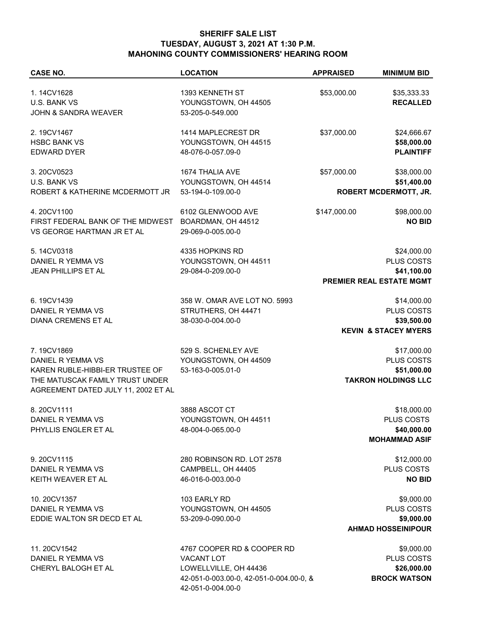## **SHERIFF SALE LIST TUESDAY, AUGUST 3, 2021 AT 1:30 P.M. MAHONING COUNTY COMMISSIONERS' HEARING ROOM**

| <b>CASE NO.</b>                                                        | <b>LOCATION</b>                                              | <b>APPRAISED</b> | <b>MINIMUM BID</b>              |  |
|------------------------------------------------------------------------|--------------------------------------------------------------|------------------|---------------------------------|--|
| 1.14CV1628                                                             | 1393 KENNETH ST                                              | \$53,000.00      | \$35,333.33                     |  |
| U.S. BANK VS                                                           | YOUNGSTOWN, OH 44505                                         |                  | <b>RECALLED</b>                 |  |
| JOHN & SANDRA WEAVER                                                   | 53-205-0-549.000                                             |                  |                                 |  |
|                                                                        |                                                              |                  |                                 |  |
| 2.19CV1467                                                             | 1414 MAPLECREST DR                                           | \$37,000.00      | \$24,666.67                     |  |
| <b>HSBC BANK VS</b>                                                    | YOUNGSTOWN, OH 44515                                         |                  | \$58,000.00                     |  |
| <b>EDWARD DYER</b>                                                     | 48-076-0-057.09-0                                            |                  | <b>PLAINTIFF</b>                |  |
| 3.20CV0523                                                             | 1674 THALIA AVE                                              | \$57,000.00      | \$38,000.00                     |  |
| <b>U.S. BANK VS</b>                                                    | YOUNGSTOWN, OH 44514                                         |                  | \$51,400.00                     |  |
| ROBERT & KATHERINE MCDERMOTT JR                                        | 53-194-0-109.00-0                                            |                  | <b>ROBERT MCDERMOTT, JR.</b>    |  |
| 4.20CV1100                                                             | 6102 GLENWOOD AVE                                            | \$147,000.00     | \$98,000.00                     |  |
| FIRST FEDERAL BANK OF THE MIDWEST                                      | BOARDMAN, OH 44512                                           |                  | <b>NO BID</b>                   |  |
| VS GEORGE HARTMAN JR ET AL                                             | 29-069-0-005.00-0                                            |                  |                                 |  |
| 5.14CV0318                                                             | 4335 HOPKINS RD                                              |                  | \$24,000.00                     |  |
| DANIEL R YEMMA VS                                                      | YOUNGSTOWN, OH 44511                                         |                  | PLUS COSTS                      |  |
| JEAN PHILLIPS ET AL                                                    | 29-084-0-209.00-0                                            |                  | \$41,100.00                     |  |
|                                                                        |                                                              |                  | PREMIER REAL ESTATE MGMT        |  |
| 6.19CV1439                                                             | 358 W. OMAR AVE LOT NO. 5993                                 |                  | \$14,000.00                     |  |
| DANIEL R YEMMA VS                                                      | STRUTHERS, OH 44471                                          |                  | PLUS COSTS                      |  |
| DIANA CREMENS ET AL                                                    | 38-030-0-004.00-0                                            |                  | \$39,500.00                     |  |
|                                                                        |                                                              |                  | <b>KEVIN &amp; STACEY MYERS</b> |  |
| 7.19CV1869                                                             | 529 S. SCHENLEY AVE                                          |                  | \$17,000.00                     |  |
| DANIEL R YEMMA VS                                                      | YOUNGSTOWN, OH 44509                                         |                  | PLUS COSTS                      |  |
| KAREN RUBLE-HIBBI-ER TRUSTEE OF                                        | 53-163-0-005.01-0                                            |                  | \$51,000.00                     |  |
| THE MATUSCAK FAMILY TRUST UNDER<br>AGREEMENT DATED JULY 11, 2002 ET AL |                                                              |                  | <b>TAKRON HOLDINGS LLC</b>      |  |
|                                                                        |                                                              |                  |                                 |  |
| 8.20CV1111                                                             | 3888 ASCOT CT                                                |                  | \$18,000.00                     |  |
| DANIEL R YEMMA VS                                                      | YOUNGSTOWN, OH 44511                                         |                  | PLUS COSTS                      |  |
| PHYLLIS ENGLER ET AL                                                   | 48-004-0-065.00-0                                            |                  | \$40,000.00                     |  |
|                                                                        |                                                              |                  | <b>MOHAMMAD ASIF</b>            |  |
| 9.20CV1115                                                             | 280 ROBINSON RD. LOT 2578                                    |                  | \$12,000.00                     |  |
| DANIEL R YEMMA VS                                                      | CAMPBELL, OH 44405                                           |                  | PLUS COSTS                      |  |
| KEITH WEAVER ET AL                                                     | 46-016-0-003.00-0                                            |                  | <b>NO BID</b>                   |  |
| 10.20CV1357                                                            | 103 EARLY RD                                                 |                  | \$9,000.00                      |  |
| DANIEL R YEMMA VS                                                      | YOUNGSTOWN, OH 44505                                         |                  | PLUS COSTS                      |  |
| EDDIE WALTON SR DECD ET AL                                             | 53-209-0-090.00-0                                            |                  | \$9,000.00                      |  |
|                                                                        |                                                              |                  | <b>AHMAD HOSSEINIPOUR</b>       |  |
| 11.20CV1542                                                            | 4767 COOPER RD & COOPER RD                                   |                  | \$9,000.00                      |  |
| DANIEL R YEMMA VS                                                      | <b>VACANT LOT</b>                                            |                  | PLUS COSTS                      |  |
| CHERYL BALOGH ET AL                                                    | LOWELLVILLE, OH 44436                                        |                  | \$26,000.00                     |  |
|                                                                        | 42-051-0-003.00-0, 42-051-0-004.00-0, &<br>42-051-0-004.00-0 |                  | <b>BROCK WATSON</b>             |  |